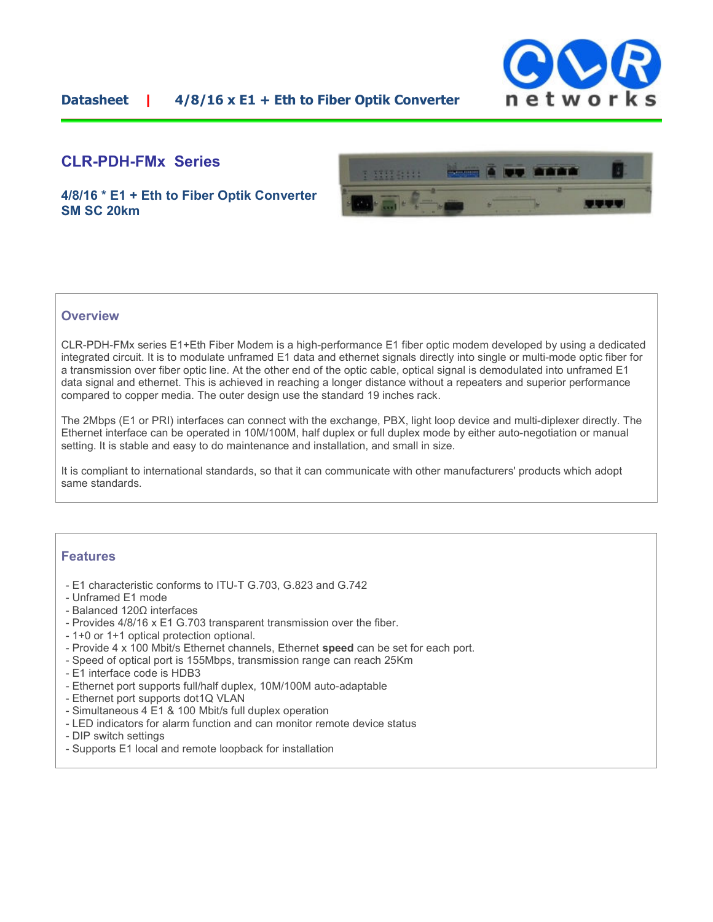

### **CLR-PDH-FMx Series**

**4/8/16 \* E1 + Eth to Fiber Optik Converter SM SC 20km** 



#### **Overview**

CLR-PDH-FMx series E1+Eth Fiber Modem is a high-performance E1 fiber optic modem developed by using a dedicated integrated circuit. It is to modulate unframed E1 data and ethernet signals directly into single or multi-mode optic fiber for a transmission over fiber optic line. At the other end of the optic cable, optical signal is demodulated into unframed E1 data signal and ethernet. This is achieved in reaching a longer distance without a repeaters and superior performance compared to copper media. The outer design use the standard 19 inches rack.

The 2Mbps (E1 or PRI) interfaces can connect with the exchange, PBX, light loop device and multi-diplexer directly. The Ethernet interface can be operated in 10M/100M, half duplex or full duplex mode by either auto-negotiation or manual setting. It is stable and easy to do maintenance and installation, and small in size.

It is compliant to international standards, so that it can communicate with other manufacturers' products which adopt same standards.

#### **Features**

- E1 characteristic conforms to ITU-T G.703, G.823 and G.742
- Unframed E1 mode
- Balanced 120Ω interfaces
- Provides 4/8/16 x E1 G.703 transparent transmission over the fiber.
- 1+0 or 1+1 optical protection optional.
- Provide 4 x 100 Mbit/s Ethernet channels, Ethernet **speed** can be set for each port.
- Speed of optical port is 155Mbps, transmission range can reach 25Km
- E1 interface code is HDB3
- Ethernet port supports full/half duplex, 10M/100M auto-adaptable
- Ethernet port supports dot1Q VLAN
- Simultaneous 4 E1 & 100 Mbit/s full duplex operation
- LED indicators for alarm function and can monitor remote device status
- DIP switch settings
- Supports E1 local and remote loopback for installation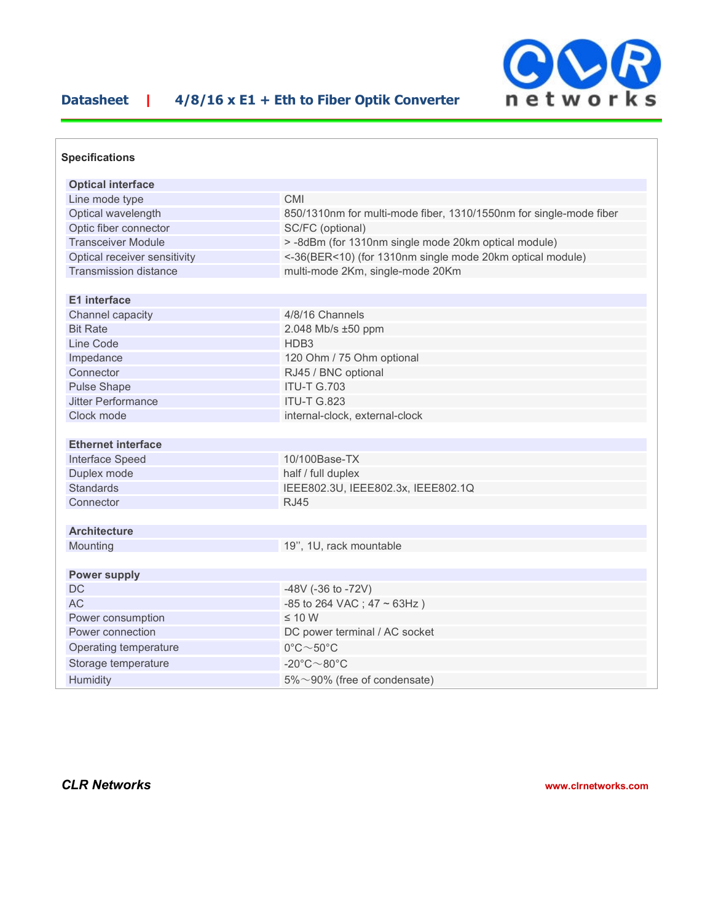## **Datasheet | 4/8/16 x E1 + Eth to Fiber Optik Converter**



| <b>Specifications</b>        |                                                                    |
|------------------------------|--------------------------------------------------------------------|
| <b>Optical interface</b>     |                                                                    |
| Line mode type               | <b>CMI</b>                                                         |
| Optical wavelength           | 850/1310nm for multi-mode fiber, 1310/1550nm for single-mode fiber |
| Optic fiber connector        | SC/FC (optional)                                                   |
| <b>Transceiver Module</b>    | > -8dBm (for 1310nm single mode 20km optical module)               |
| Optical receiver sensitivity | <-36(BER<10) (for 1310nm single mode 20km optical module)          |
| <b>Transmission distance</b> | multi-mode 2Km, single-mode 20Km                                   |
| <b>E1</b> interface          |                                                                    |
| Channel capacity             | 4/8/16 Channels                                                    |
| <b>Bit Rate</b>              | 2.048 Mb/s ±50 ppm                                                 |
| Line Code                    | HDB <sub>3</sub>                                                   |
| Impedance                    | 120 Ohm / 75 Ohm optional                                          |
| Connector                    | RJ45 / BNC optional                                                |
| <b>Pulse Shape</b>           | <b>ITU-T G.703</b>                                                 |
| Jitter Performance           | <b>ITU-T G.823</b>                                                 |
| Clock mode                   | internal-clock, external-clock                                     |
| <b>Ethernet interface</b>    |                                                                    |
| Interface Speed              | 10/100Base-TX                                                      |
| Duplex mode                  | half / full duplex                                                 |
| <b>Standards</b>             | IEEE802.3U, IEEE802.3x, IEEE802.1Q                                 |
| Connector                    | <b>RJ45</b>                                                        |
| <b>Architecture</b>          |                                                                    |
| Mounting                     |                                                                    |
|                              | 19", 1U, rack mountable                                            |
| <b>Power supply</b>          |                                                                    |
| <b>DC</b>                    | -48V (-36 to -72V)                                                 |
| AC                           | $-85$ to 264 VAC; 47 ~ 63Hz)                                       |
| Power consumption            | $\leq 10$ W                                                        |
| Power connection             | DC power terminal / AC socket                                      |
| Operating temperature        | $0^{\circ}$ C $\sim$ 50 $^{\circ}$ C                               |
| Storage temperature          | $-20^{\circ}$ C $\sim$ 80 $^{\circ}$ C                             |
| Humidity                     | $5\% \sim 90\%$ (free of condensate)                               |

*CLR Networks* **www.clrnetworks.com**